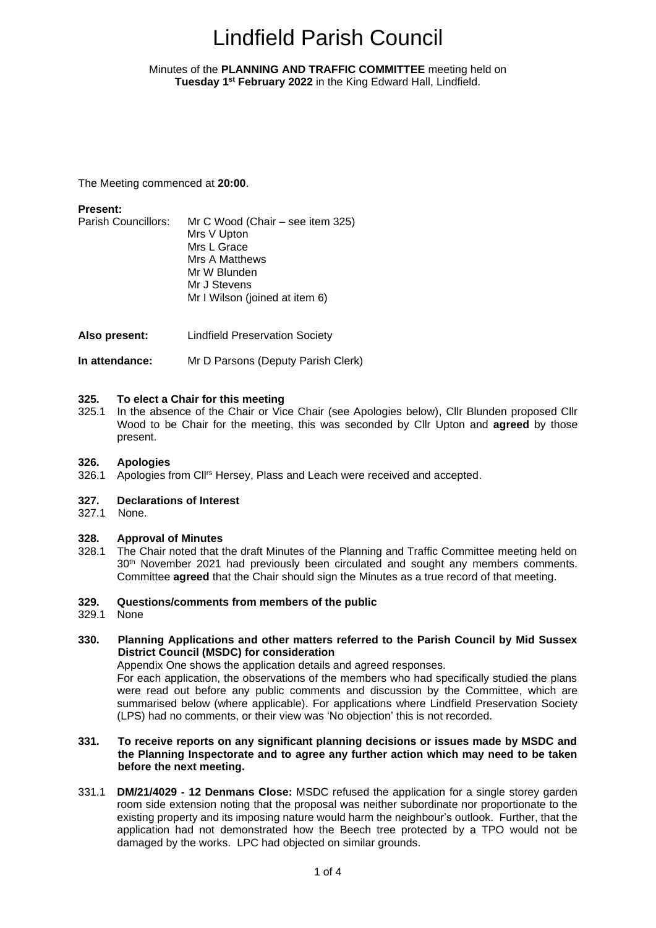### <span id="page-0-1"></span><span id="page-0-0"></span>Minutes of the **PLANNING AND TRAFFIC COMMITTEE** meeting held on **Tuesday 1 st February 2022** in the King Edward Hall, Lindfield.

The Meeting commenced at **20:00**.

### **Present:**

- Parish Councillors: Mr C Wood (Chair see item 325) Mrs V Upton Mrs L Grace Mrs A Matthews Mr W Blunden Mr J Stevens Mr I Wilson (joined at item 6)
- **Also present:** Lindfield Preservation Society
- **In attendance:** Mr D Parsons (Deputy Parish Clerk)

### **325. To elect a Chair for this meeting**

325.1 In the absence of the Chair or Vice Chair (see Apologies below), Cllr Blunden proposed Cllr Wood to be Chair for the meeting, this was seconded by Cllr Upton and **agreed** by those present.

### **326. Apologies**

326.1 Apologies from Cll<sup>rs</sup> Hersey, Plass and Leach were received and accepted.

### **327. Declarations of Interest**

327.1 None.

### **328. Approval of Minutes**

328.1 The Chair noted that the draft Minutes of the Planning and Traffic Committee meeting held on 30<sup>th</sup> November 2021 had previously been circulated and sought any members comments. Committee **agreed** that the Chair should sign the Minutes as a true record of that meeting.

### **329. Questions/comments from members of the public**

- 329.1 None
- **330. Planning Applications and other matters referred to the Parish Council by Mid Sussex District Council (MSDC) for consideration**

Appendix One shows the application details and agreed responses.

For each application, the observations of the members who had specifically studied the plans were read out before any public comments and discussion by the Committee, which are summarised below (where applicable). For applications where Lindfield Preservation Society (LPS) had no comments, or their view was 'No objection' this is not recorded.

### **331. To receive reports on any significant planning decisions or issues made by MSDC and the Planning Inspectorate and to agree any further action which may need to be taken before the next meeting.**

331.1 **DM/21/4029 - 12 Denmans Close:** MSDC refused the application for a single storey garden room side extension noting that the proposal was neither subordinate nor proportionate to the existing property and its imposing nature would harm the neighbour's outlook. Further, that the application had not demonstrated how the Beech tree protected by a TPO would not be damaged by the works. LPC had objected on similar grounds.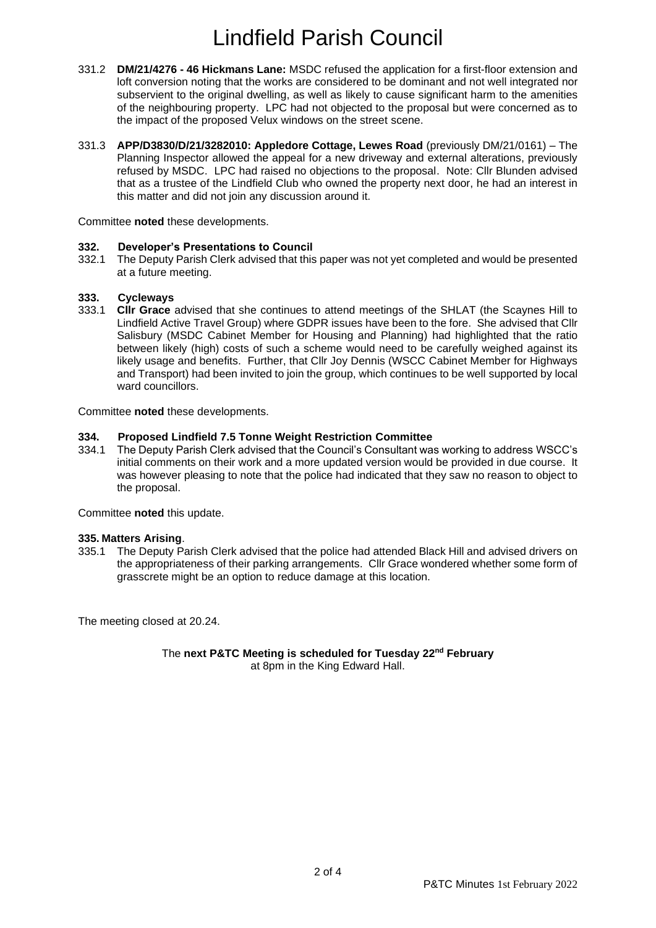- 331.2 **DM/21/4276 - 46 Hickmans Lane:** MSDC refused the application for a first-floor extension and loft conversion noting that the works are considered to be dominant and not well integrated nor subservient to the original dwelling, as well as likely to cause significant harm to the amenities of the neighbouring property. LPC had not objected to the proposal but were concerned as to the impact of the proposed Velux windows on the street scene.
- 331.3 **APP/D3830/D/21/3282010: Appledore Cottage, Lewes Road** (previously DM/21/0161) The Planning Inspector allowed the appeal for a new driveway and external alterations, previously refused by MSDC. LPC had raised no objections to the proposal. Note: Cllr Blunden advised that as a trustee of the Lindfield Club who owned the property next door, he had an interest in this matter and did not join any discussion around it.

Committee **noted** these developments.

### **332. Developer's Presentations to Council**

332.1 The Deputy Parish Clerk advised that this paper was not yet completed and would be presented at a future meeting.

### **333. Cycleways**

333.1 **Cllr Grace** advised that she continues to attend meetings of the SHLAT (the Scaynes Hill to Lindfield Active Travel Group) where GDPR issues have been to the fore. She advised that Cllr Salisbury (MSDC Cabinet Member for Housing and Planning) had highlighted that the ratio between likely (high) costs of such a scheme would need to be carefully weighed against its likely usage and benefits. Further, that Cllr Joy Dennis (WSCC Cabinet Member for Highways and Transport) had been invited to join the group, which continues to be well supported by local ward councillors.

Committee **noted** these developments.

### **334. Proposed Lindfield 7.5 Tonne Weight Restriction Committee**

334.1 The Deputy Parish Clerk advised that the Council's Consultant was working to address WSCC's initial comments on their work and a more updated version would be provided in due course. It was however pleasing to note that the police had indicated that they saw no reason to object to the proposal.

Committee **noted** this update.

### **335. Matters Arising**.

335.1 The Deputy Parish Clerk advised that the police had attended Black Hill and advised drivers on the appropriateness of their parking arrangements. Cllr Grace wondered whether some form of grasscrete might be an option to reduce damage at this location.

The meeting closed at 20.24.

The **next P&TC Meeting is scheduled for Tuesday 22 nd February** at 8pm in the King Edward Hall.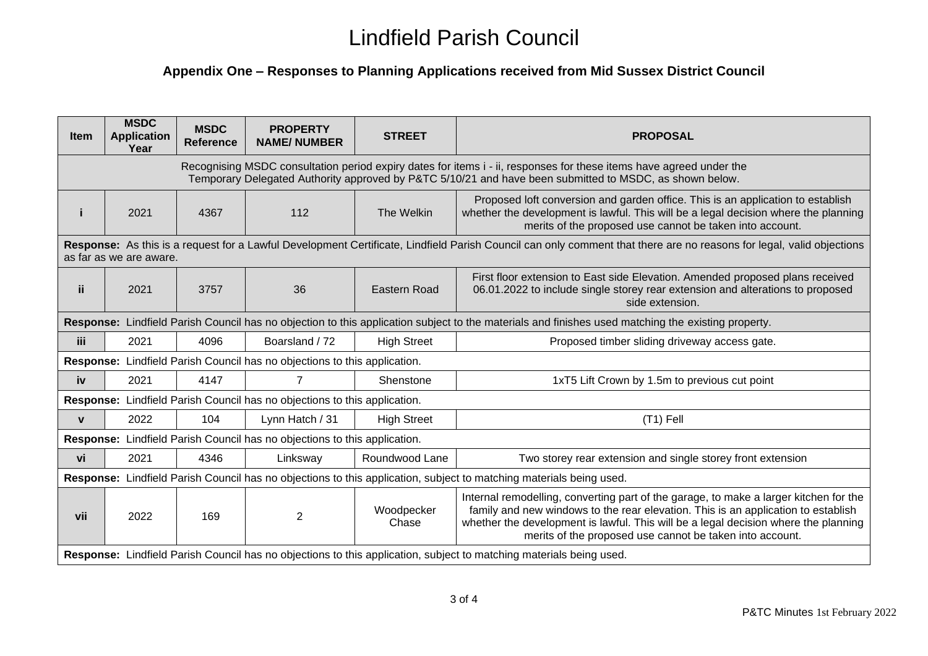## **Appendix One – Responses to Planning Applications received from Mid Sussex District Council**

| <b>Item</b>                                                                                                                                                                                                                    | <b>MSDC</b><br><b>Application</b><br>Year                                 | <b>MSDC</b><br><b>Reference</b> | <b>PROPERTY</b><br><b>NAME/NUMBER</b> | <b>STREET</b>       | <b>PROPOSAL</b>                                                                                                                                                                                                                                                                                                               |  |  |  |  |
|--------------------------------------------------------------------------------------------------------------------------------------------------------------------------------------------------------------------------------|---------------------------------------------------------------------------|---------------------------------|---------------------------------------|---------------------|-------------------------------------------------------------------------------------------------------------------------------------------------------------------------------------------------------------------------------------------------------------------------------------------------------------------------------|--|--|--|--|
| Recognising MSDC consultation period expiry dates for items i - ii, responses for these items have agreed under the<br>Temporary Delegated Authority approved by P&TC 5/10/21 and have been submitted to MSDC, as shown below. |                                                                           |                                 |                                       |                     |                                                                                                                                                                                                                                                                                                                               |  |  |  |  |
|                                                                                                                                                                                                                                | 2021                                                                      | 4367                            | 112                                   | The Welkin          | Proposed loft conversion and garden office. This is an application to establish<br>whether the development is lawful. This will be a legal decision where the planning<br>merits of the proposed use cannot be taken into account.                                                                                            |  |  |  |  |
| Response: As this is a request for a Lawful Development Certificate, Lindfield Parish Council can only comment that there are no reasons for legal, valid objections<br>as far as we are aware.                                |                                                                           |                                 |                                       |                     |                                                                                                                                                                                                                                                                                                                               |  |  |  |  |
| <b>ii</b>                                                                                                                                                                                                                      | 2021                                                                      | 3757                            | 36                                    | Eastern Road        | First floor extension to East side Elevation. Amended proposed plans received<br>06.01.2022 to include single storey rear extension and alterations to proposed<br>side extension.                                                                                                                                            |  |  |  |  |
| Response: Lindfield Parish Council has no objection to this application subject to the materials and finishes used matching the existing property.                                                                             |                                                                           |                                 |                                       |                     |                                                                                                                                                                                                                                                                                                                               |  |  |  |  |
| iii.                                                                                                                                                                                                                           | 2021                                                                      | 4096                            | Boarsland / 72                        | <b>High Street</b>  | Proposed timber sliding driveway access gate.                                                                                                                                                                                                                                                                                 |  |  |  |  |
| Response: Lindfield Parish Council has no objections to this application.                                                                                                                                                      |                                                                           |                                 |                                       |                     |                                                                                                                                                                                                                                                                                                                               |  |  |  |  |
| iv                                                                                                                                                                                                                             | 2021                                                                      | 4147                            | 7                                     | Shenstone           | 1xT5 Lift Crown by 1.5m to previous cut point                                                                                                                                                                                                                                                                                 |  |  |  |  |
|                                                                                                                                                                                                                                | Response: Lindfield Parish Council has no objections to this application. |                                 |                                       |                     |                                                                                                                                                                                                                                                                                                                               |  |  |  |  |
| $\mathbf{v}$                                                                                                                                                                                                                   | 2022                                                                      | 104                             | Lynn Hatch / 31                       | <b>High Street</b>  | $(T1)$ Fell                                                                                                                                                                                                                                                                                                                   |  |  |  |  |
| Response: Lindfield Parish Council has no objections to this application.                                                                                                                                                      |                                                                           |                                 |                                       |                     |                                                                                                                                                                                                                                                                                                                               |  |  |  |  |
| vi                                                                                                                                                                                                                             | 2021                                                                      | 4346                            | Linksway                              | Roundwood Lane      | Two storey rear extension and single storey front extension                                                                                                                                                                                                                                                                   |  |  |  |  |
| Response: Lindfield Parish Council has no objections to this application, subject to matching materials being used.                                                                                                            |                                                                           |                                 |                                       |                     |                                                                                                                                                                                                                                                                                                                               |  |  |  |  |
| vii                                                                                                                                                                                                                            | 2022                                                                      | 169                             | 2                                     | Woodpecker<br>Chase | Internal remodelling, converting part of the garage, to make a larger kitchen for the<br>family and new windows to the rear elevation. This is an application to establish<br>whether the development is lawful. This will be a legal decision where the planning<br>merits of the proposed use cannot be taken into account. |  |  |  |  |
| Response: Lindfield Parish Council has no objections to this application, subject to matching materials being used.                                                                                                            |                                                                           |                                 |                                       |                     |                                                                                                                                                                                                                                                                                                                               |  |  |  |  |